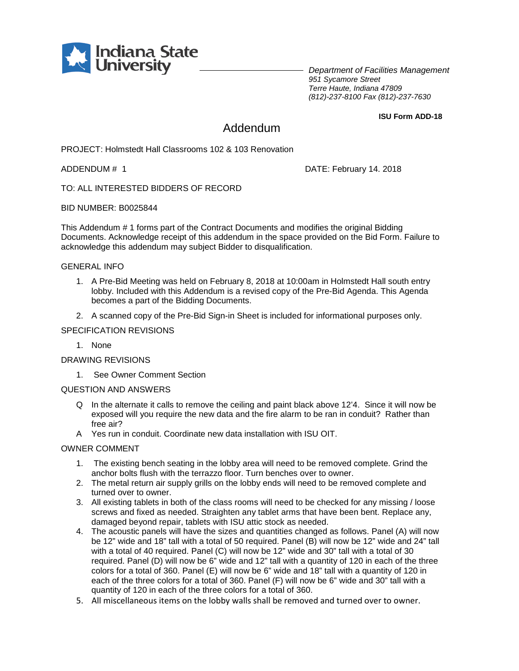

*Department of Facilities Management 951 Sycamore Street Terre Haute, Indiana 47809 (812)-237-8100 Fax (812)-237-7630*

**ISU Form ADD-18**

### Addendum

PROJECT: Holmstedt Hall Classrooms 102 & 103 Renovation

ADDENDUM # 1 DATE: February 14. 2018

TO: ALL INTERESTED BIDDERS OF RECORD

BID NUMBER: B0025844

This Addendum # 1 forms part of the Contract Documents and modifies the original Bidding Documents. Acknowledge receipt of this addendum in the space provided on the Bid Form. Failure to acknowledge this addendum may subject Bidder to disqualification.

#### GENERAL INFO

- 1. A Pre-Bid Meeting was held on February 8, 2018 at 10:00am in Holmstedt Hall south entry lobby. Included with this Addendum is a revised copy of the Pre-Bid Agenda. This Agenda becomes a part of the Bidding Documents.
- 2. A scanned copy of the Pre-Bid Sign-in Sheet is included for informational purposes only.

#### SPECIFICATION REVISIONS

1. None

DRAWING REVISIONS

1. See Owner Comment Section

#### QUESTION AND ANSWERS

- Q In the alternate it calls to remove the ceiling and paint black above 12'4. Since it will now be exposed will you require the new data and the fire alarm to be ran in conduit? Rather than free air?
- A Yes run in conduit. Coordinate new data installation with ISU OIT.

#### OWNER COMMENT

- 1. The existing bench seating in the lobby area will need to be removed complete. Grind the anchor bolts flush with the terrazzo floor. Turn benches over to owner.
- 2. The metal return air supply grills on the lobby ends will need to be removed complete and turned over to owner.
- 3. All existing tablets in both of the class rooms will need to be checked for any missing / loose screws and fixed as needed. Straighten any tablet arms that have been bent. Replace any, damaged beyond repair, tablets with ISU attic stock as needed.
- 4. The acoustic panels will have the sizes and quantities changed as follows. Panel (A) will now be 12" wide and 18" tall with a total of 50 required. Panel (B) will now be 12" wide and 24" tall with a total of 40 required. Panel (C) will now be 12" wide and 30" tall with a total of 30 required. Panel (D) will now be 6" wide and 12" tall with a quantity of 120 in each of the three colors for a total of 360. Panel (E) will now be 6" wide and 18" tall with a quantity of 120 in each of the three colors for a total of 360. Panel (F) will now be 6" wide and 30" tall with a quantity of 120 in each of the three colors for a total of 360.
- 5. All miscellaneous items on the lobby walls shall be removed and turned over to owner.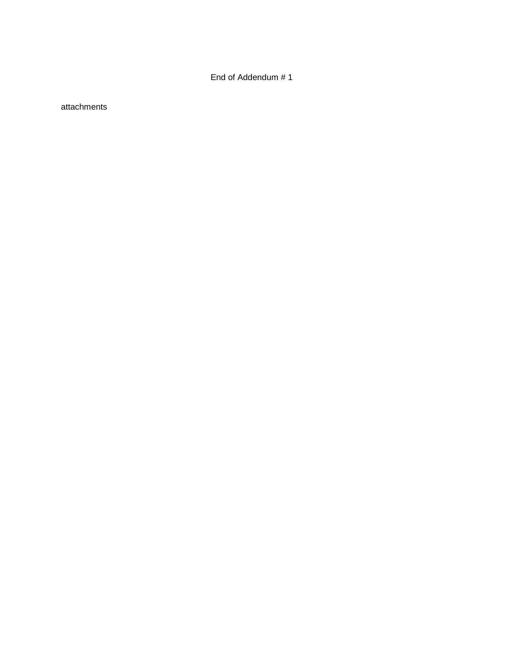End of Addendum # 1

attachments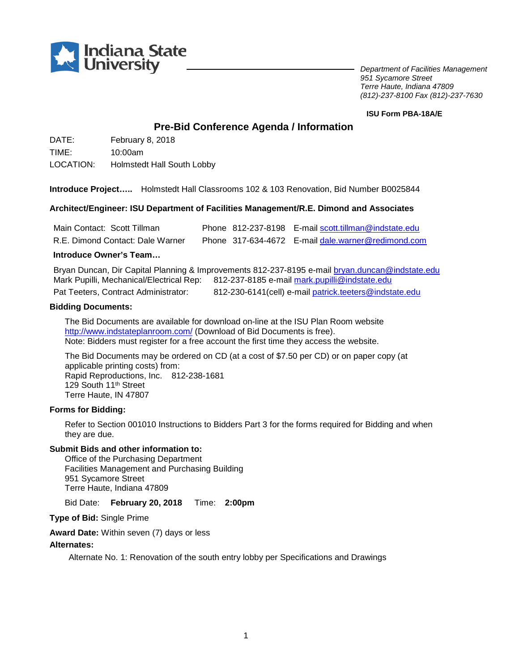

*Department of Facilities Management 951 Sycamore Street Terre Haute, Indiana 47809 (812)-237-8100 Fax (812)-237-7630*

#### **ISU Form PBA-18A/E**

### **Pre-Bid Conference Agenda / Information**

DATE: February 8, 2018 TIME: 10:00am

LOCATION: Holmstedt Hall South Lobby

**Introduce Project…..** Holmstedt Hall Classrooms 102 & 103 Renovation, Bid Number B0025844

#### **Architect/Engineer: ISU Department of Facilities Management/R.E. Dimond and Associates**

| Main Contact: Scott Tillman      | Phone 812-237-8198 E-mail scott.tillman@indstate.edu |
|----------------------------------|------------------------------------------------------|
| R.E. Dimond Contact: Dale Warner | Phone 317-634-4672 E-mail dale, warner@redimond.com  |

#### **Introduce Owner's Team…**

Bryan Duncan, Dir Capital Planning & Improvements 812-237-8195 e-mai[l bryan.duncan@indstate.edu](mailto:bryan.duncan@indstate.edu) Mark Pupilli, Mechanical/Electrical Rep: 812-237-8185 e-mail [mark.pupilli@indstate.edu](mailto:mark.pupilli@indstate.edu)

Pat Teeters, Contract Administrator: 812-230-6141(cell) e-mai[l patrick.teeters@indstate.edu](mailto:patrick.teeters@indstate.edu)

#### **Bidding Documents:**

The Bid Documents are available for download on-line at the ISU Plan Room website <http://www.indstateplanroom.com/> (Download of Bid Documents is free). Note: Bidders must register for a free account the first time they access the website.

The Bid Documents may be ordered on CD (at a cost of \$7.50 per CD) or on paper copy (at applicable printing costs) from: Rapid Reproductions, Inc. 812-238-1681 129 South 11<sup>th</sup> Street Terre Haute, IN 47807

#### **Forms for Bidding:**

Refer to Section 001010 Instructions to Bidders Part 3 for the forms required for Bidding and when they are due.

#### **Submit Bids and other information to:**

Office of the Purchasing Department Facilities Management and Purchasing Building 951 Sycamore Street Terre Haute, Indiana 47809

Bid Date: **February 20, 2018** Time: **2:00pm**

**Type of Bid:** Single Prime

**Award Date:** Within seven (7) days or less

#### **Alternates:**

Alternate No. 1: Renovation of the south entry lobby per Specifications and Drawings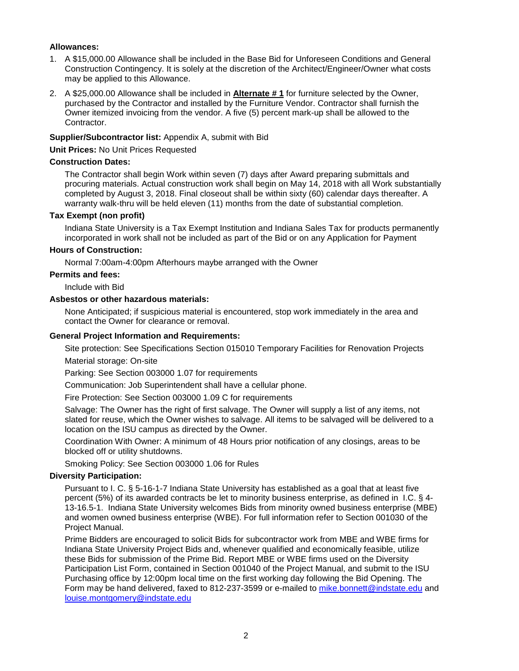#### **Allowances:**

- 1. A \$15,000.00 Allowance shall be included in the Base Bid for Unforeseen Conditions and General Construction Contingency. It is solely at the discretion of the Architect/Engineer/Owner what costs may be applied to this Allowance.
- 2. A \$25,000.00 Allowance shall be included in **Alternate # 1** for furniture selected by the Owner, purchased by the Contractor and installed by the Furniture Vendor. Contractor shall furnish the Owner itemized invoicing from the vendor. A five (5) percent mark-up shall be allowed to the Contractor.

#### **Supplier/Subcontractor list:** Appendix A, submit with Bid

**Unit Prices:** No Unit Prices Requested

#### **Construction Dates:**

The Contractor shall begin Work within seven (7) days after Award preparing submittals and procuring materials. Actual construction work shall begin on May 14, 2018 with all Work substantially completed by August 3, 2018. Final closeout shall be within sixty (60) calendar days thereafter. A warranty walk-thru will be held eleven (11) months from the date of substantial completion.

#### **Tax Exempt (non profit)**

Indiana State University is a Tax Exempt Institution and Indiana Sales Tax for products permanently incorporated in work shall not be included as part of the Bid or on any Application for Payment

#### **Hours of Construction:**

Normal 7:00am-4:00pm Afterhours maybe arranged with the Owner

#### **Permits and fees:**

Include with Bid

#### **Asbestos or other hazardous materials:**

None Anticipated; if suspicious material is encountered, stop work immediately in the area and contact the Owner for clearance or removal.

#### **General Project Information and Requirements:**

Site protection: See Specifications Section 015010 Temporary Facilities for Renovation Projects Material storage: On-site

Parking: See Section 003000 1.07 for requirements

Communication: Job Superintendent shall have a cellular phone.

Fire Protection: See Section 003000 1.09 C for requirements

Salvage: The Owner has the right of first salvage. The Owner will supply a list of any items, not slated for reuse, which the Owner wishes to salvage. All items to be salvaged will be delivered to a location on the ISU campus as directed by the Owner.

Coordination With Owner: A minimum of 48 Hours prior notification of any closings, areas to be blocked off or utility shutdowns.

Smoking Policy: See Section 003000 1.06 for Rules

#### **Diversity Participation:**

Pursuant to I. C. § 5-16-1-7 Indiana State University has established as a goal that at least five percent (5%) of its awarded contracts be let to minority business enterprise, as defined in I.C. § 4- 13-16.5-1. Indiana State University welcomes Bids from minority owned business enterprise (MBE) and women owned business enterprise (WBE). For full information refer to Section 001030 of the Project Manual.

Prime Bidders are encouraged to solicit Bids for subcontractor work from MBE and WBE firms for Indiana State University Project Bids and, whenever qualified and economically feasible, utilize these Bids for submission of the Prime Bid. Report MBE or WBE firms used on the Diversity Participation List Form, contained in Section 001040 of the Project Manual, and submit to the ISU Purchasing office by 12:00pm local time on the first working day following the Bid Opening. The Form may be hand delivered, faxed to 812-237-3599 or e-mailed to [mike.bonnett@indstate.edu](mailto:mike.bonnett@indstate.edu) and [louise.montgomery@indstate.edu](mailto:louise.montgomery@indstate.edu)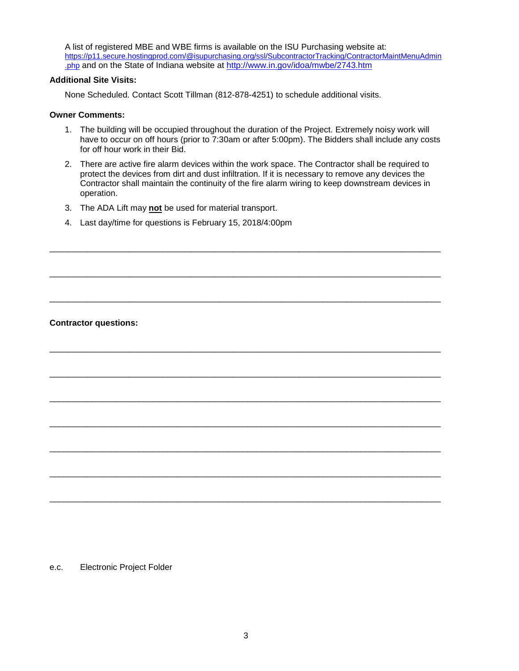A list of registered MBE and WBE firms is available on the ISU Purchasing website at: [https://p11.secure.hostingprod.com/@isupurchasing.org/ssl/SubcontractorTracking/ContractorMaintMenuAdmin](https://p11.secure.hostingprod.com/@isupurchasing.org/ssl/SubcontractorTracking/ContractorMaintMenuAdmin.php) [.php](https://p11.secure.hostingprod.com/@isupurchasing.org/ssl/SubcontractorTracking/ContractorMaintMenuAdmin.php) and on the State of Indiana website at<http://www.in.gov/idoa/mwbe/2743.htm>

#### **Additional Site Visits:**

None Scheduled. Contact Scott Tillman (812-878-4251) to schedule additional visits.

#### **Owner Comments:**

- 1. The building will be occupied throughout the duration of the Project. Extremely noisy work will have to occur on off hours (prior to 7:30am or after 5:00pm). The Bidders shall include any costs for off hour work in their Bid.
- 2. There are active fire alarm devices within the work space. The Contractor shall be required to protect the devices from dirt and dust infiltration. If it is necessary to remove any devices the Contractor shall maintain the continuity of the fire alarm wiring to keep downstream devices in operation.

\_\_\_\_\_\_\_\_\_\_\_\_\_\_\_\_\_\_\_\_\_\_\_\_\_\_\_\_\_\_\_\_\_\_\_\_\_\_\_\_\_\_\_\_\_\_\_\_\_\_\_\_\_\_\_\_\_\_\_\_\_\_\_\_\_\_\_\_\_\_\_\_\_\_\_\_\_\_\_\_\_\_\_

\_\_\_\_\_\_\_\_\_\_\_\_\_\_\_\_\_\_\_\_\_\_\_\_\_\_\_\_\_\_\_\_\_\_\_\_\_\_\_\_\_\_\_\_\_\_\_\_\_\_\_\_\_\_\_\_\_\_\_\_\_\_\_\_\_\_\_\_\_\_\_\_\_\_\_\_\_\_\_\_\_\_\_

\_\_\_\_\_\_\_\_\_\_\_\_\_\_\_\_\_\_\_\_\_\_\_\_\_\_\_\_\_\_\_\_\_\_\_\_\_\_\_\_\_\_\_\_\_\_\_\_\_\_\_\_\_\_\_\_\_\_\_\_\_\_\_\_\_\_\_\_\_\_\_\_\_\_\_\_\_\_\_\_\_\_\_

\_\_\_\_\_\_\_\_\_\_\_\_\_\_\_\_\_\_\_\_\_\_\_\_\_\_\_\_\_\_\_\_\_\_\_\_\_\_\_\_\_\_\_\_\_\_\_\_\_\_\_\_\_\_\_\_\_\_\_\_\_\_\_\_\_\_\_\_\_\_\_\_\_\_\_\_\_\_\_\_\_\_\_

\_\_\_\_\_\_\_\_\_\_\_\_\_\_\_\_\_\_\_\_\_\_\_\_\_\_\_\_\_\_\_\_\_\_\_\_\_\_\_\_\_\_\_\_\_\_\_\_\_\_\_\_\_\_\_\_\_\_\_\_\_\_\_\_\_\_\_\_\_\_\_\_\_\_\_\_\_\_\_\_\_\_\_

\_\_\_\_\_\_\_\_\_\_\_\_\_\_\_\_\_\_\_\_\_\_\_\_\_\_\_\_\_\_\_\_\_\_\_\_\_\_\_\_\_\_\_\_\_\_\_\_\_\_\_\_\_\_\_\_\_\_\_\_\_\_\_\_\_\_\_\_\_\_\_\_\_\_\_\_\_\_\_\_\_\_\_

\_\_\_\_\_\_\_\_\_\_\_\_\_\_\_\_\_\_\_\_\_\_\_\_\_\_\_\_\_\_\_\_\_\_\_\_\_\_\_\_\_\_\_\_\_\_\_\_\_\_\_\_\_\_\_\_\_\_\_\_\_\_\_\_\_\_\_\_\_\_\_\_\_\_\_\_\_\_\_\_\_\_\_

\_\_\_\_\_\_\_\_\_\_\_\_\_\_\_\_\_\_\_\_\_\_\_\_\_\_\_\_\_\_\_\_\_\_\_\_\_\_\_\_\_\_\_\_\_\_\_\_\_\_\_\_\_\_\_\_\_\_\_\_\_\_\_\_\_\_\_\_\_\_\_\_\_\_\_\_\_\_\_\_\_\_\_

\_\_\_\_\_\_\_\_\_\_\_\_\_\_\_\_\_\_\_\_\_\_\_\_\_\_\_\_\_\_\_\_\_\_\_\_\_\_\_\_\_\_\_\_\_\_\_\_\_\_\_\_\_\_\_\_\_\_\_\_\_\_\_\_\_\_\_\_\_\_\_\_\_\_\_\_\_\_\_\_\_\_\_

\_\_\_\_\_\_\_\_\_\_\_\_\_\_\_\_\_\_\_\_\_\_\_\_\_\_\_\_\_\_\_\_\_\_\_\_\_\_\_\_\_\_\_\_\_\_\_\_\_\_\_\_\_\_\_\_\_\_\_\_\_\_\_\_\_\_\_\_\_\_\_\_\_\_\_\_\_\_\_\_\_\_\_

- 3. The ADA Lift may **not** be used for material transport.
- 4. Last day/time for questions is February 15, 2018/4:00pm

#### **Contractor questions:**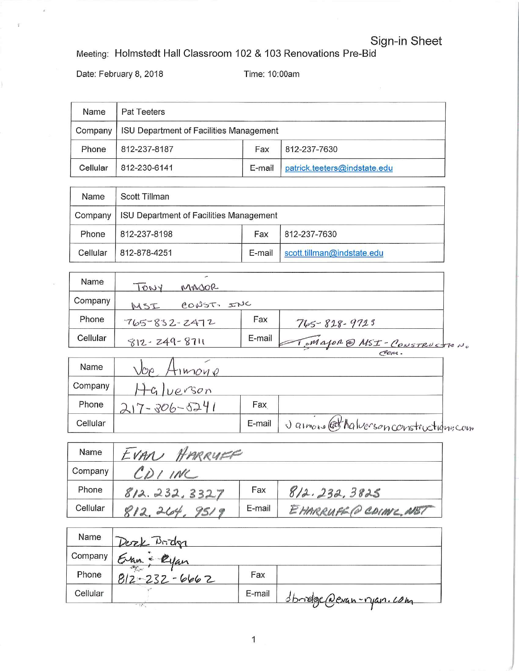# Sign-in Sheet

Meeting: Holmstedt Hall Classroom 102 & 103 Renovations Pre-Bid

Date: February 8, 2018

Time: 10:00am

| Name     | Pat Teeters                             |        |                              |  |
|----------|-----------------------------------------|--------|------------------------------|--|
| Company  | ISU Department of Facilities Management |        |                              |  |
| Phone    | 812-237-8187                            | Fax    | 812-237-7630                 |  |
| Cellular | 812-230-6141                            | E-mail | patrick.teeters@indstate.edu |  |

| Name     | Scott Tillman                                  |        |                            |
|----------|------------------------------------------------|--------|----------------------------|
| Company  | <b>ISU Department of Facilities Management</b> |        |                            |
| Phone    | 812-237-8198                                   | Fax    | 812-237-7630               |
| Cellular | 812-878-4251                                   | E-mail | scott.tillman@indstate.edu |

| Name     |                    |            |                           |
|----------|--------------------|------------|---------------------------|
|          | TONY               | MAJOR      |                           |
| Company  | MSI                | CONST. INC |                           |
| Phone    | $765 - 832 - 2472$ | Fax        | $765 - 828 - 9723$        |
| Cellular | $812 - 249 - 8711$ | E-mail     | Major @ MSI-CONSTRUCTION. |
|          |                    |            | even.                     |

| Name     | JOF<br>MOMO |        |                                     |
|----------|-------------|--------|-------------------------------------|
| Company  | Ivevson     |        |                                     |
| Phone    | $-206-524$  | Fax    |                                     |
| Cellular |             | E-mail | Jamone @thalverson constructionscon |

| Name     | EVAN HARRYER      |        |                      |
|----------|-------------------|--------|----------------------|
| Company  | $CD$ <i>I</i> INC |        |                      |
| Phone    | 812.232.3327      | Fax    | 8/2.232.3825         |
| Cellular | 812,264.<br>9519  | E-mail | EHARRUFED CDIME, NET |

| Name     | Desek Bridge                                     |        |                                  |
|----------|--------------------------------------------------|--------|----------------------------------|
| Company  | Eran - Ryan                                      |        |                                  |
| Phone    | $\mathcal{M}_{\text{int}}$<br>$812 - 232 - 6662$ | Fax    |                                  |
| Cellular |                                                  | E-mail | <u> Sbridge Devan-ryan. Long</u> |
|          | $-77.$                                           |        |                                  |